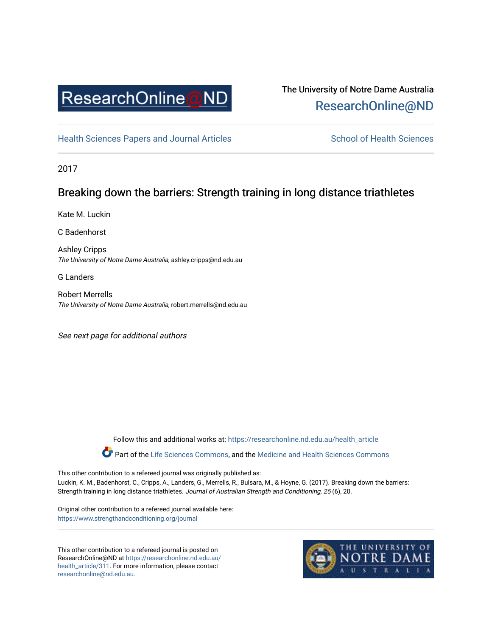

# The University of Notre Dame Australia [ResearchOnline@ND](https://researchonline.nd.edu.au/)

[Health Sciences Papers and Journal Articles](https://researchonline.nd.edu.au/health_article) School of Health Sciences

2017

## Breaking down the barriers: Strength training in long distance triathletes

Kate M. Luckin

C Badenhorst

Ashley Cripps The University of Notre Dame Australia, ashley.cripps@nd.edu.au

G Landers

Robert Merrells The University of Notre Dame Australia, robert.merrells@nd.edu.au

See next page for additional authors

Follow this and additional works at: [https://researchonline.nd.edu.au/health\\_article](https://researchonline.nd.edu.au/health_article?utm_source=researchonline.nd.edu.au%2Fhealth_article%2F311&utm_medium=PDF&utm_campaign=PDFCoverPages)

Part of the [Life Sciences Commons](http://network.bepress.com/hgg/discipline/1016?utm_source=researchonline.nd.edu.au%2Fhealth_article%2F311&utm_medium=PDF&utm_campaign=PDFCoverPages), and the Medicine and Health Sciences Commons

This other contribution to a refereed journal was originally published as: Luckin, K. M., Badenhorst, C., Cripps, A., Landers, G., Merrells, R., Bulsara, M., & Hoyne, G. (2017). Breaking down the barriers: Strength training in long distance triathletes. Journal of Australian Strength and Conditioning, 25 (6), 20.

Original other contribution to a refereed journal available here: <https://www.strengthandconditioning.org/journal>

This other contribution to a refereed journal is posted on ResearchOnline@ND at [https://researchonline.nd.edu.au/](https://researchonline.nd.edu.au/health_article/311) [health\\_article/311.](https://researchonline.nd.edu.au/health_article/311) For more information, please contact [researchonline@nd.edu.au.](mailto:researchonline@nd.edu.au)

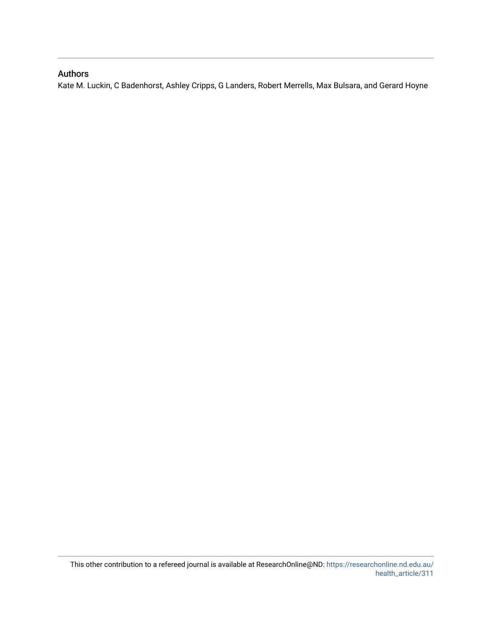## Authors

Kate M. Luckin, C Badenhorst, Ashley Cripps, G Landers, Robert Merrells, Max Bulsara, and Gerard Hoyne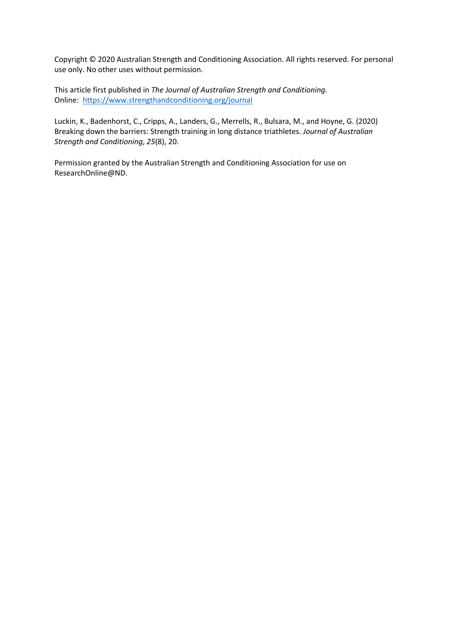Copyright © 2020 Australian Strength and Conditioning Association. All rights reserved. For personal use only. No other uses without permission.

This article first published in *The Journal of Australian Strength and Conditioning.* Online: <https://www.strengthandconditioning.org/journal>

Luckin, K., Badenhorst, C., Cripps, A., Landers, G., Merrells, R., Bulsara, M., and Hoyne, G. (2020) Breaking down the barriers: Strength training in long distance triathletes. *Journal of Australian Strength and Conditioning*, *25*(8), 20.

Permission granted by the Australian Strength and Conditioning Association for use on ResearchOnline@ND.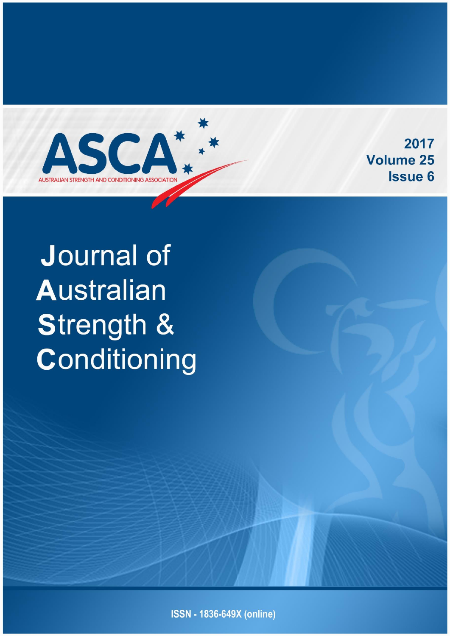

2017 **Volume 25 Issue 6** 

**Journal of Australian Strength &** Conditioning

**ISSN - 1836-649X (online)**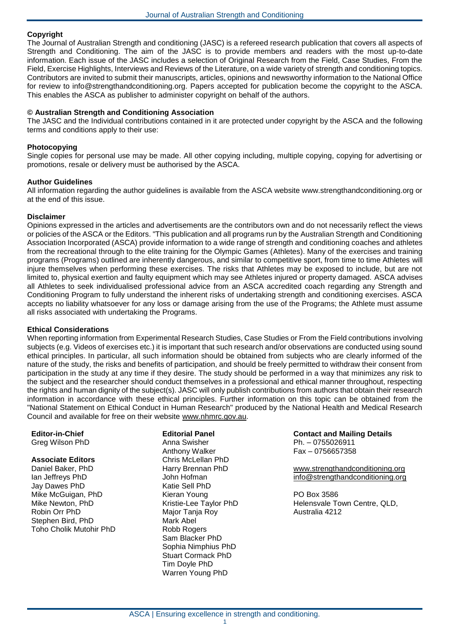## **Copyright**

The Journal of Australian Strength and conditioning (JASC) is a refereed research publication that covers all aspects of Strength and Conditioning. The aim of the JASC is to provide members and readers with the most up-to-date information. Each issue of the JASC includes a selection of Original Research from the Field, Case Studies, From the Field, Exercise Highlights, Interviews and Reviews of the Literature, on a wide variety of strength and conditioning topics. Contributors are invited to submit their manuscripts, articles, opinions and newsworthy information to the National Office for review to info@strengthandconditioning.org. Papers accepted for publication become the copyright to the ASCA. This enables the ASCA as publisher to administer copyright on behalf of the authors.

## **© Australian Strength and Conditioning Association**

The JASC and the Individual contributions contained in it are protected under copyright by the ASCA and the following terms and conditions apply to their use:

## **Photocopying**

Single copies for personal use may be made. All other copying including, multiple copying, copying for advertising or promotions, resale or delivery must be authorised by the ASCA.

### **Author Guidelines**

All information regarding the author guidelines is available from the ASCA website www.strengthandconditioning.org or at the end of this issue.

### **Disclaimer**

Opinions expressed in the articles and advertisements are the contributors own and do not necessarily reflect the views or policies of the ASCA or the Editors. "This publication and all programs run by the Australian Strength and Conditioning Association Incorporated (ASCA) provide information to a wide range of strength and conditioning coaches and athletes from the recreational through to the elite training for the Olympic Games (Athletes). Many of the exercises and training programs (Programs) outlined are inherently dangerous, and similar to competitive sport, from time to time Athletes will injure themselves when performing these exercises. The risks that Athletes may be exposed to include, but are not limited to, physical exertion and faulty equipment which may see Athletes injured or property damaged. ASCA advises all Athletes to seek individualised professional advice from an ASCA accredited coach regarding any Strength and Conditioning Program to fully understand the inherent risks of undertaking strength and conditioning exercises. ASCA accepts no liability whatsoever for any loss or damage arising from the use of the Programs; the Athlete must assume all risks associated with undertaking the Programs.

### **Ethical Considerations**

When reporting information from Experimental Research Studies, Case Studies or From the Field contributions involving subjects (e.g. Videos of exercises etc.) it is important that such research and/or observations are conducted using sound ethical principles. In particular, all such information should be obtained from subjects who are clearly informed of the nature of the study, the risks and benefits of participation, and should be freely permitted to withdraw their consent from participation in the study at any time if they desire. The study should be performed in a way that minimizes any risk to the subject and the researcher should conduct themselves in a professional and ethical manner throughout, respecting the rights and human dignity of the subject(s). JASC will only publish contributions from authors that obtain their research information in accordance with these ethical principles. Further information on this topic can be obtained from the "National Statement on Ethical Conduct in Human Research" produced by the National Health and Medical Research Council and available for free on their website [www.nhmrc.gov.au.](http://www.nhmrc.gov.au/)

**Editor-in-Chief** Greg Wilson PhD

### **Associate Editors**

Daniel Baker, PhD Ian Jeffreys PhD Jay Dawes PhD Mike McGuigan, PhD Mike Newton, PhD Robin Orr PhD Stephen Bird, PhD Toho Cholik Mutohir PhD **Editorial Panel** Anna Swisher Anthony Walker Chris McLellan PhD Harry Brennan PhD John Hofman Katie Sell PhD Kieran Young Kristie-Lee Taylor PhD Major Tanja Roy Mark Abel Robb Rogers Sam Blacker PhD Sophia Nimphius PhD Stuart Cormack PhD Tim Doyle PhD Warren Young PhD

**Contact and Mailing Details** Ph. – 0755026911 Fax – 0756657358

[www.strengthandconditioning.org](http://www.strengthandconditioning.org/) [info@strengthandconditioning.org](mailto:info@strengthandconditioning.org)

PO Box 3586 Helensvale Town Centre, QLD, Australia 4212